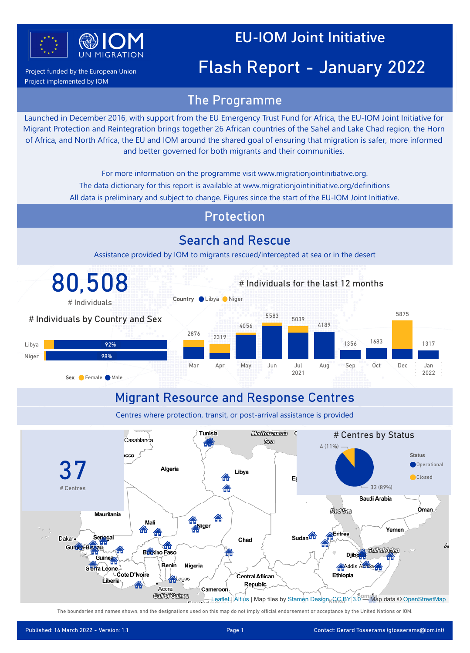

Project funded by the European Union Project implemented by IOM

# Flash Report - January 2022

#### The Programme

Power BI Desktop

Launched in December 2016, with support from the EU Emergency Trust Fund for Africa, the EU-IOM Joint Initiative for Migrant Protection and Reintegration brings together 26 African countries of the Sahel and Lake Chad region, the Horn of Africa, and North Africa, the EU and IOM around the shared goal of ensuring that migration is safer, more informed and better governed for both migrants and their communities.

For more information on the programme visit www.migrationjointinitiative.org.

- The data dictionary for this report is available at www.migrationjointinitiative.org/definitions
- All data is preliminary and subject to change. Figures since the start of the EU-IOM Joint Initiative.

#### Protection

#### Search and Rescue

Assistance provided by IOM to migrants rescued/intercepted at sea or in the desert



The boundaries and names shown, and the designations used on this map do not imply official endorsement or acceptance by the United Nations or IOM.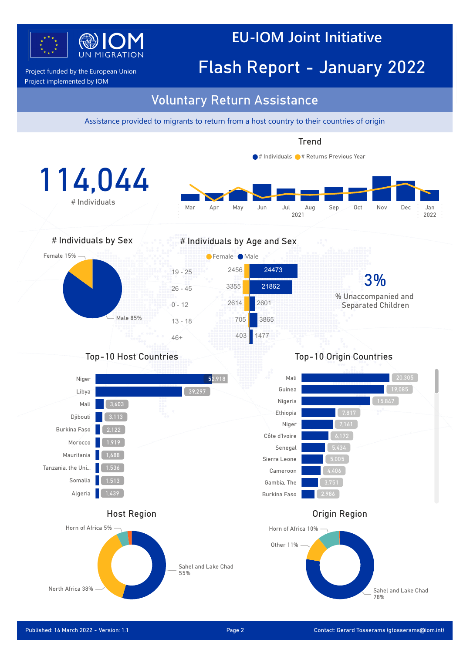

Project funded by the European Union **Flash Report - January 2022** 

Project implemented by IOM

#### Voluntary Return Assistance

Power BI Desktop

Assistance provided to migrants to return from a host country to their countries of origin

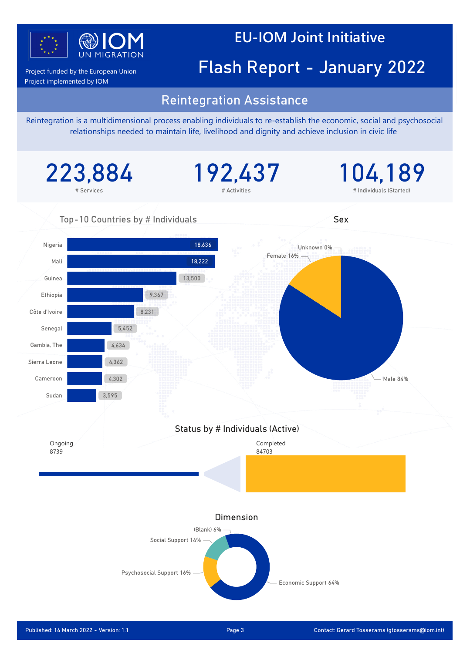

Project implemented by IOM

# Project funded by the European Union **Flash Report - January 2022**

#### Reintegration Assistance

Power BI Desktop

Reintegration is a multidimensional process enabling individuals to re-establish the economic, social and psychosocial relationships needed to maintain life, livelihood and dignity and achieve inclusion in civic life

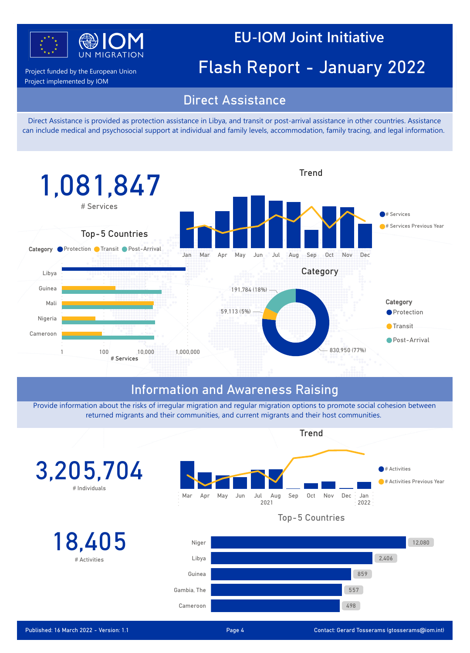

Project implemented by IOM

# Project funded by the European Union **Flash Report - January 2022**

#### Direct Assistance

Power BI Desktop

Direct Assistance is provided as protection assistance in Libya, and transit or post-arrival assistance in other countries. Assistance can include medical and psychosocial support at individual and family levels, accommodation, family tracing, and legal information.



### Information and Awareness Raising

Provide information about the risks of irregular migration and regular migration options to promote social cohesion between returned migrants and their communities, and current migrants and their host communities.

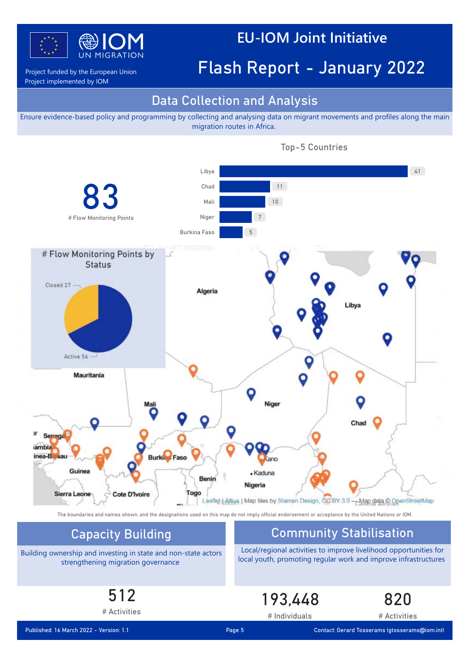

## Project funded by the European Union **Flash Report - January 2022**

Project implemented by IOM

#### Data Collection and Analysis

Power BI Desktop

Ensure evidence-based policy and programming by collecting and analysing data on migrant movements and profiles along the main migration routes in Africa.



Top-5 Countries

The boundaries and names shown, and the designations used on this map do not imply official endorsement or acceptance by the United Nations or IOM.

Building ownership and investing in state and non-state actors strengthening migration governance

#### Capacity Building Community Stabilisation

Local/regional activities to improve livelihood opportunities for local youth, promoting regular work and improve infrastructures

193,448

# Individuals

# 512

# Activities

Published: 16 March 2022 - Version: 1.1 Page 5 Contact: Gerard Tosserams (gtosserams@iom.int)

820

# Activities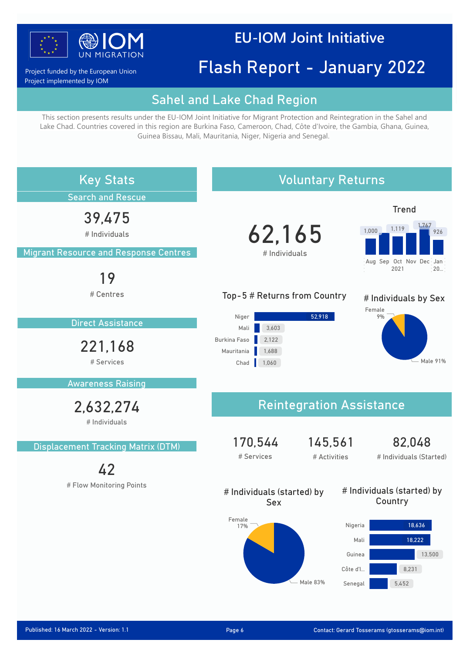

Project funded by the European Union Project implemented by IOM

# Flash Report - January 2022

#### Sahel and Lake Chad Region

Power BI Desktop

This section presents results under the EU-IOM Joint Initiative for Migrant Protection and Reintegration in the Sahel and Lake Chad. Countries covered in this region are Burkina Faso, Cameroon, Chad, Côte d'Ivoire, the Gambia, Ghana, Guinea, Guinea Bissau, Mali, Mauritania, Niger, Nigeria and Senegal.

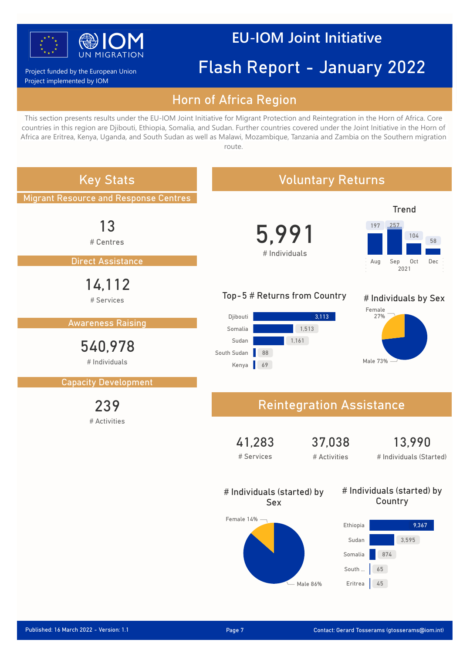

#### Project funded by the European Union Project implemented by IOM

# Flash Report - January 2022

#### Horn of Africa Region

Power BI Desktop

This section presents results under the EU-IOM Joint Initiative for Migrant Protection and Reintegration in the Horn of Africa. Core countries in this region are Djibouti, Ethiopia, Somalia, and Sudan. Further countries covered under the Joint Initiative in the Horn of Africa are Eritrea, Kenya, Uganda, and South Sudan as well as Malawi, Mozambique, Tanzania and Zambia on the Southern migration route.

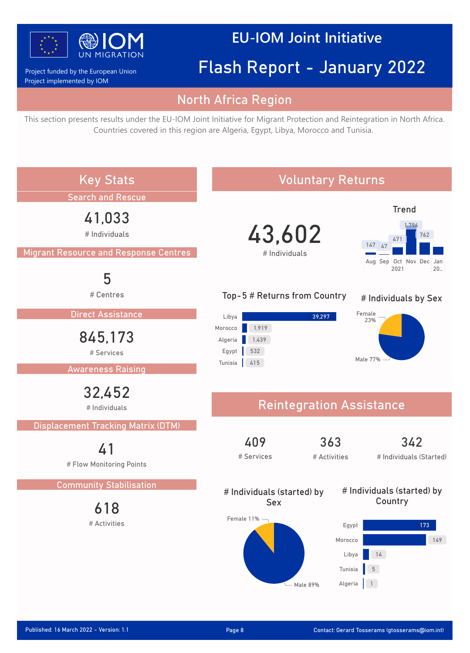

Project implemented by IOM Project funded by the European Union

# Flash Report - January 2022

#### North Africa Region

Power BI Desktop

This section presents results under the EU-IOM Joint Initiative for Migrant Protection and Reintegration in North Africa. Countries covered in this region are Algeria, Egypt, Libya, Morocco and Tunisia.